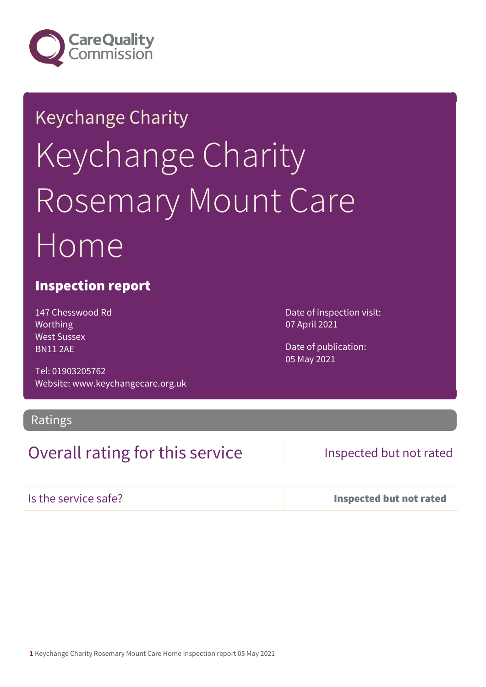

# Keychange Charity Keychange Charity Rosemary Mount Care Home

### Inspection report

147 Chesswood Rd Worthing West Sussex BN11 2AE

Tel: 01903205762 Website: www.keychangecare.org.uk

Ratings

## Overall rating for this service Inspected but not rated

Is the service safe? Inspected but not rated

Date of inspection visit: 07 April 2021

Date of publication: 05 May 2021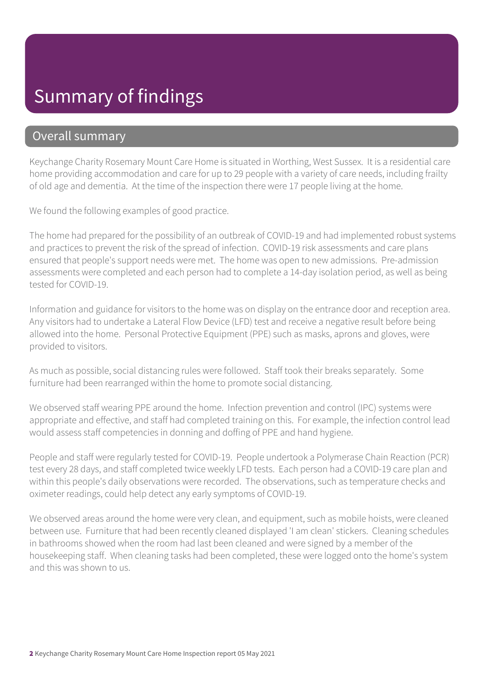## Summary of findings

### Overall summary

Keychange Charity Rosemary Mount Care Home is situated in Worthing, West Sussex. It is a residential care home providing accommodation and care for up to 29 people with a variety of care needs, including frailty of old age and dementia. At the time of the inspection there were 17 people living at the home.

We found the following examples of good practice.

The home had prepared for the possibility of an outbreak of COVID-19 and had implemented robust systems and practices to prevent the risk of the spread of infection. COVID-19 risk assessments and care plans ensured that people's support needs were met. The home was open to new admissions. Pre-admission assessments were completed and each person had to complete a 14-day isolation period, as well as being tested for COVID-19.

Information and guidance for visitors to the home was on display on the entrance door and reception area. Any visitors had to undertake a Lateral Flow Device (LFD) test and receive a negative result before being allowed into the home. Personal Protective Equipment (PPE) such as masks, aprons and gloves, were provided to visitors.

As much as possible, social distancing rules were followed. Staff took their breaks separately. Some furniture had been rearranged within the home to promote social distancing.

We observed staff wearing PPE around the home. Infection prevention and control (IPC) systems were appropriate and effective, and staff had completed training on this. For example, the infection control lead would assess staff competencies in donning and doffing of PPE and hand hygiene.

People and staff were regularly tested for COVID-19. People undertook a Polymerase Chain Reaction (PCR) test every 28 days, and staff completed twice weekly LFD tests. Each person had a COVID-19 care plan and within this people's daily observations were recorded. The observations, such as temperature checks and oximeter readings, could help detect any early symptoms of COVID-19.

We observed areas around the home were very clean, and equipment, such as mobile hoists, were cleaned between use. Furniture that had been recently cleaned displayed 'I am clean' stickers. Cleaning schedules in bathrooms showed when the room had last been cleaned and were signed by a member of the housekeeping staff. When cleaning tasks had been completed, these were logged onto the home's system and this was shown to us.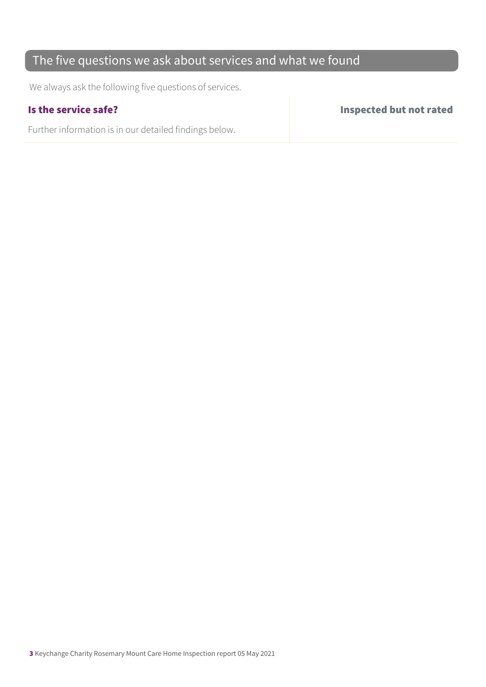## The five questions we ask about services and what we found

We always ask the following five questions of services.

Further information is in our detailed findings below.

Is the service safe? Inspected but not rated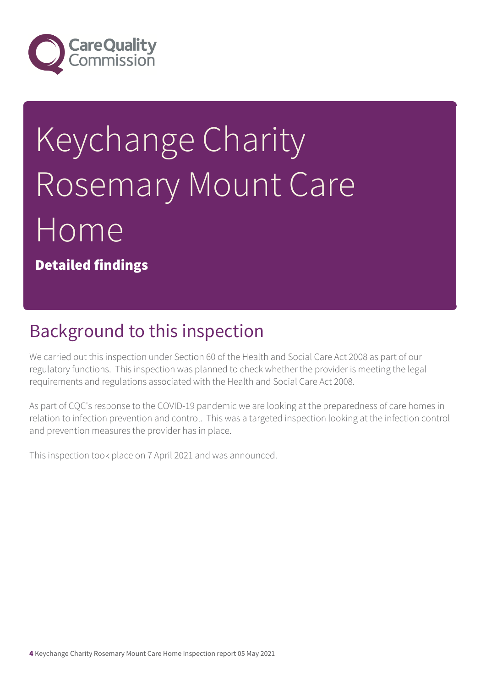

# Keychange Charity Rosemary Mount Care Home

Detailed findings

# Background to this inspection

We carried out this inspection under Section 60 of the Health and Social Care Act 2008 as part of our regulatory functions. This inspection was planned to check whether the provider is meeting the legal requirements and regulations associated with the Health and Social Care Act 2008.

As part of CQC's response to the COVID-19 pandemic we are looking at the preparedness of care homes in relation to infection prevention and control. This was a targeted inspection looking at the infection control and prevention measures the provider has in place.

This inspection took place on 7 April 2021 and was announced.